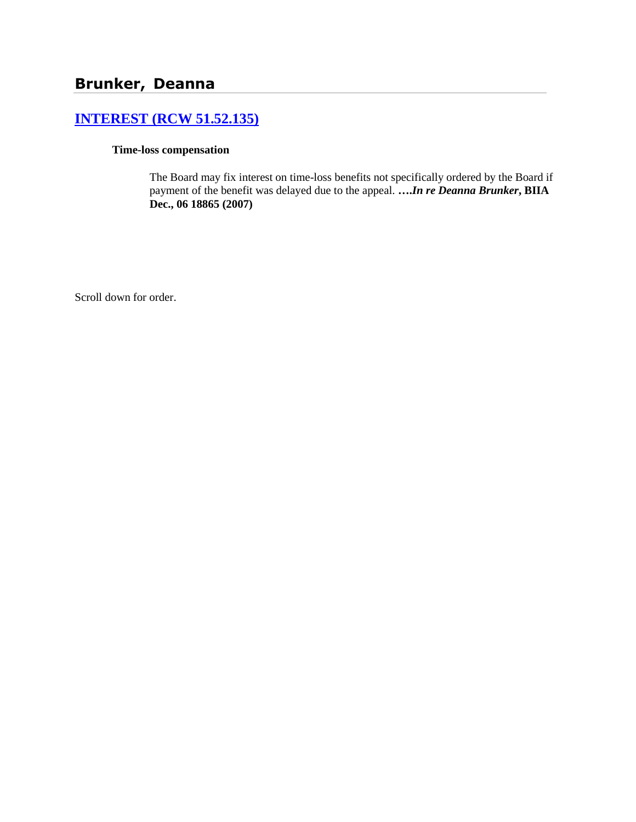# **[INTEREST \(RCW 51.52.135\)](http://www.biia.wa.gov/SDSubjectIndex.html#INTEREST)**

### **Time-loss compensation**

The Board may fix interest on time-loss benefits not specifically ordered by the Board if payment of the benefit was delayed due to the appeal. **….***In re Deanna Brunker***, BIIA Dec., 06 18865 (2007)**

Scroll down for order.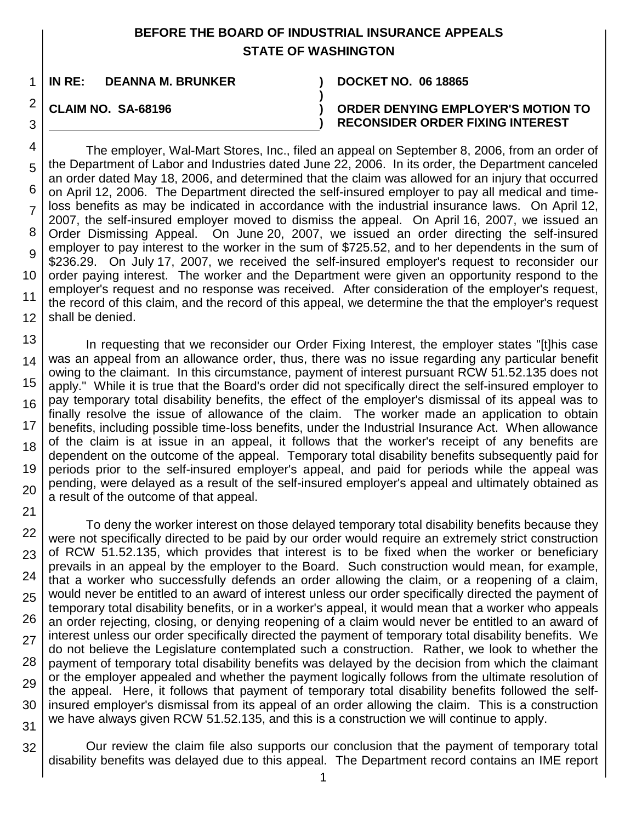## **BEFORE THE BOARD OF INDUSTRIAL INSURANCE APPEALS STATE OF WASHINGTON**

**)**

**)**

1 **IN RE: DEANNA M. BRUNKER ) DOCKET NO. 06 18865**

## **CLAIM NO. SA-68196 )**

2

3

21

### **ORDER DENYING EMPLOYER'S MOTION TO RECONSIDER ORDER FIXING INTEREST**

4 5 6 7 8 9 10 11 12 The employer, Wal-Mart Stores, Inc., filed an appeal on September 8, 2006, from an order of the Department of Labor and Industries dated June 22, 2006. In its order, the Department canceled an order dated May 18, 2006, and determined that the claim was allowed for an injury that occurred on April 12, 2006. The Department directed the self-insured employer to pay all medical and timeloss benefits as may be indicated in accordance with the industrial insurance laws. On April 12, 2007, the self-insured employer moved to dismiss the appeal. On April 16, 2007, we issued an Order Dismissing Appeal. On June 20, 2007, we issued an order directing the self-insured employer to pay interest to the worker in the sum of \$725.52, and to her dependents in the sum of \$236.29. On July 17, 2007, we received the self-insured employer's request to reconsider our order paying interest. The worker and the Department were given an opportunity respond to the employer's request and no response was received. After consideration of the employer's request, the record of this claim, and the record of this appeal, we determine the that the employer's request shall be denied.

13 14 15 16 17 18 19 20 In requesting that we reconsider our Order Fixing Interest, the employer states "[t]his case was an appeal from an allowance order, thus, there was no issue regarding any particular benefit owing to the claimant. In this circumstance, payment of interest pursuant RCW 51.52.135 does not apply." While it is true that the Board's order did not specifically direct the self-insured employer to pay temporary total disability benefits, the effect of the employer's dismissal of its appeal was to finally resolve the issue of allowance of the claim. The worker made an application to obtain benefits, including possible time-loss benefits, under the Industrial Insurance Act. When allowance of the claim is at issue in an appeal, it follows that the worker's receipt of any benefits are dependent on the outcome of the appeal. Temporary total disability benefits subsequently paid for periods prior to the self-insured employer's appeal, and paid for periods while the appeal was pending, were delayed as a result of the self-insured employer's appeal and ultimately obtained as a result of the outcome of that appeal.

22 23 24 25 26 27 28 29 30 31 To deny the worker interest on those delayed temporary total disability benefits because they were not specifically directed to be paid by our order would require an extremely strict construction of RCW 51.52.135, which provides that interest is to be fixed when the worker or beneficiary prevails in an appeal by the employer to the Board. Such construction would mean, for example, that a worker who successfully defends an order allowing the claim, or a reopening of a claim, would never be entitled to an award of interest unless our order specifically directed the payment of temporary total disability benefits, or in a worker's appeal, it would mean that a worker who appeals an order rejecting, closing, or denying reopening of a claim would never be entitled to an award of interest unless our order specifically directed the payment of temporary total disability benefits. We do not believe the Legislature contemplated such a construction. Rather, we look to whether the payment of temporary total disability benefits was delayed by the decision from which the claimant or the employer appealed and whether the payment logically follows from the ultimate resolution of the appeal. Here, it follows that payment of temporary total disability benefits followed the selfinsured employer's dismissal from its appeal of an order allowing the claim. This is a construction we have always given RCW 51.52.135, and this is a construction we will continue to apply.

32 Our review the claim file also supports our conclusion that the payment of temporary total disability benefits was delayed due to this appeal. The Department record contains an IME report